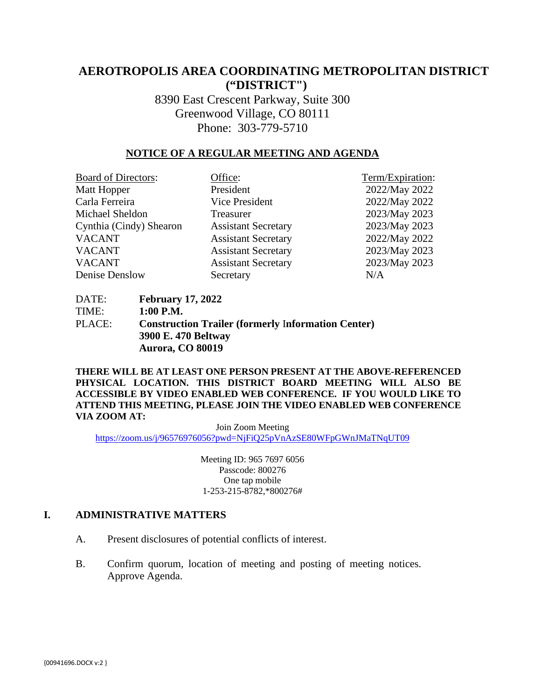# **AEROTROPOLIS AREA COORDINATING METROPOLITAN DISTRICT ("DISTRICT")**

8390 East Crescent Parkway, Suite 300 Greenwood Village, CO 80111 Phone: 303-779-5710

### **NOTICE OF A REGULAR MEETING AND AGENDA**

| <b>Board of Directors:</b> | Office:                    | Term/Expiration: |
|----------------------------|----------------------------|------------------|
| Matt Hopper                | President                  | 2022/May 2022    |
| Carla Ferreira             | Vice President             | 2022/May 2022    |
| Michael Sheldon            | Treasurer                  | 2023/May 2023    |
| Cynthia (Cindy) Shearon    | <b>Assistant Secretary</b> | 2023/May 2023    |
| <b>VACANT</b>              | <b>Assistant Secretary</b> | 2022/May 2022    |
| <b>VACANT</b>              | <b>Assistant Secretary</b> | 2023/May 2023    |
| <b>VACANT</b>              | <b>Assistant Secretary</b> | 2023/May 2023    |
| Denise Denslow             | Secretary                  | N/A              |

DATE: **February 17, 2022** TIME: **1:00 P.M.** PLACE: **Construction Trailer (formerly** I**nformation Center) 3900 E. 470 Beltway Aurora, CO 80019** 

**THERE WILL BE AT LEAST ONE PERSON PRESENT AT THE ABOVE-REFERENCED PHYSICAL LOCATION. THIS DISTRICT BOARD MEETING WILL ALSO BE ACCESSIBLE BY VIDEO ENABLED WEB CONFERENCE. IF YOU WOULD LIKE TO ATTEND THIS MEETING, PLEASE JOIN THE VIDEO ENABLED WEB CONFERENCE VIA ZOOM AT:**

Join Zoom Meeting <https://zoom.us/j/96576976056?pwd=NjFiQ25pVnAzSE80WFpGWnJMaTNqUT09>

> Meeting ID: 965 7697 6056 Passcode: 800276 One tap mobile 1-253-215-8782,\*800276#

#### **I. ADMINISTRATIVE MATTERS**

- A. Present disclosures of potential conflicts of interest.
- B. Confirm quorum, location of meeting and posting of meeting notices. Approve Agenda.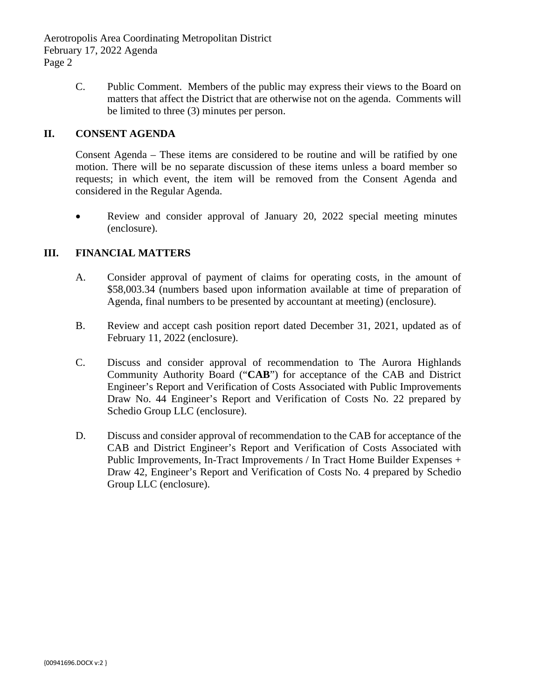> C. Public Comment. Members of the public may express their views to the Board on matters that affect the District that are otherwise not on the agenda. Comments will be limited to three (3) minutes per person.

## **II. CONSENT AGENDA**

Consent Agenda – These items are considered to be routine and will be ratified by one motion. There will be no separate discussion of these items unless a board member so requests; in which event, the item will be removed from the Consent Agenda and considered in the Regular Agenda.

• Review and consider approval of January 20, 2022 special meeting minutes (enclosure).

## **III. FINANCIAL MATTERS**

- A. Consider approval of payment of claims for operating costs, in the amount of \$58,003.34 (numbers based upon information available at time of preparation of Agenda, final numbers to be presented by accountant at meeting) (enclosure).
- B. Review and accept cash position report dated December 31, 2021, updated as of February 11, 2022 (enclosure).
- C. Discuss and consider approval of recommendation to The Aurora Highlands Community Authority Board ("**CAB**") for acceptance of the CAB and District Engineer's Report and Verification of Costs Associated with Public Improvements Draw No. 44 Engineer's Report and Verification of Costs No. 22 prepared by Schedio Group LLC (enclosure).
- D. Discuss and consider approval of recommendation to the CAB for acceptance of the CAB and District Engineer's Report and Verification of Costs Associated with Public Improvements, In-Tract Improvements / In Tract Home Builder Expenses + Draw 42, Engineer's Report and Verification of Costs No. 4 prepared by Schedio Group LLC (enclosure).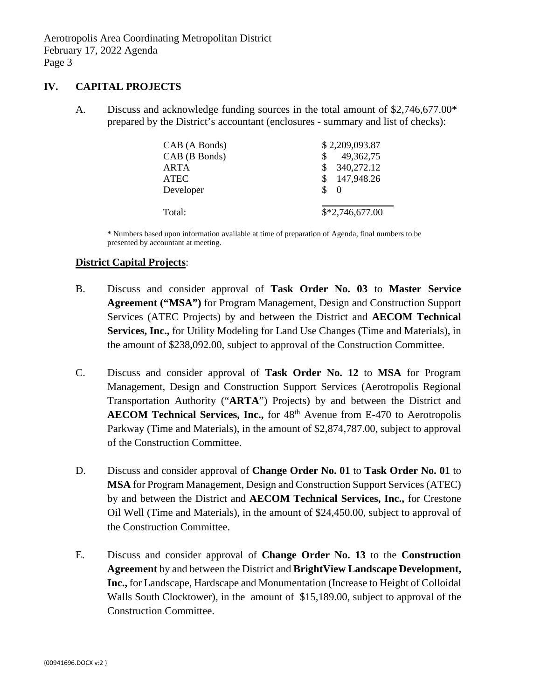#### **IV. CAPITAL PROJECTS**

A. Discuss and acknowledge funding sources in the total amount of \$2,746,677.00\* prepared by the District's accountant (enclosures - summary and list of checks):

| CAB (A Bonds) | \$2,209,093.87   |  |
|---------------|------------------|--|
| CAB (B Bonds) | 49, 362, 75      |  |
| ARTA          | 340,272.12       |  |
| <b>ATEC</b>   | 147,948.26<br>S. |  |
| Developer     | \$<br>$\Omega$   |  |
|               |                  |  |
| Total:        | $$*2,746,677.00$ |  |

\* Numbers based upon information available at time of preparation of Agenda, final numbers to be presented by accountant at meeting.

#### **District Capital Projects**:

- B. Discuss and consider approval of **Task Order No. 03** to **Master Service Agreement ("MSA")** for Program Management, Design and Construction Support Services (ATEC Projects) by and between the District and **AECOM Technical Services, Inc.,** for Utility Modeling for Land Use Changes (Time and Materials), in the amount of \$238,092.00, subject to approval of the Construction Committee.
- C. Discuss and consider approval of **Task Order No. 12** to **MSA** for Program Management, Design and Construction Support Services (Aerotropolis Regional Transportation Authority ("**ARTA**") Projects) by and between the District and **AECOM Technical Services, Inc.,** for 48th Avenue from E-470 to Aerotropolis Parkway (Time and Materials), in the amount of \$2,874,787.00, subject to approval of the Construction Committee.
- D. Discuss and consider approval of **Change Order No. 01** to **Task Order No. 01** to **MSA** for Program Management, Design and Construction Support Services (ATEC) by and between the District and **AECOM Technical Services, Inc.,** for Crestone Oil Well (Time and Materials), in the amount of \$24,450.00, subject to approval of the Construction Committee.
- E. Discuss and consider approval of **Change Order No. 13** to the **Construction Agreement** by and between the District and **BrightView Landscape Development, Inc.,** for Landscape, Hardscape and Monumentation (Increase to Height of Colloidal Walls South Clocktower), in the amount of \$15,189.00, subject to approval of the Construction Committee.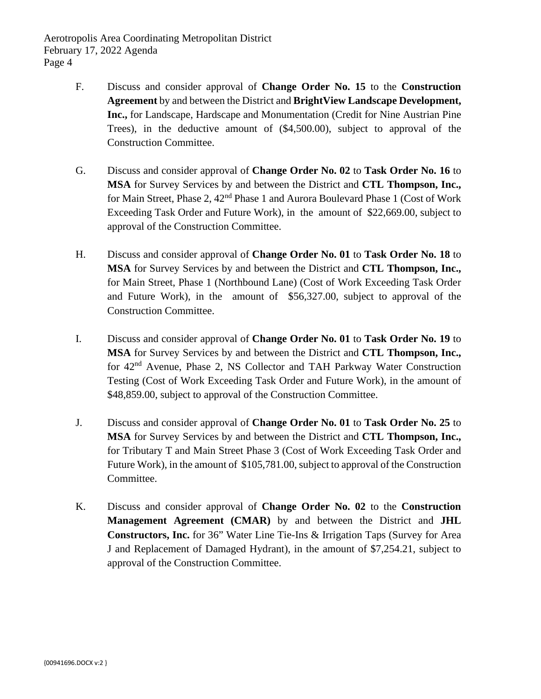- F. Discuss and consider approval of **Change Order No. 15** to the **Construction Agreement** by and between the District and **BrightView Landscape Development, Inc.,** for Landscape, Hardscape and Monumentation (Credit for Nine Austrian Pine Trees), in the deductive amount of (\$4,500.00), subject to approval of the Construction Committee.
- G. Discuss and consider approval of **Change Order No. 02** to **Task Order No. 16** to **MSA** for Survey Services by and between the District and **CTL Thompson, Inc.,** for Main Street, Phase 2, 42<sup>nd</sup> Phase 1 and Aurora Boulevard Phase 1 (Cost of Work Exceeding Task Order and Future Work), in the amount of \$22,669.00, subject to approval of the Construction Committee.
- H. Discuss and consider approval of **Change Order No. 01** to **Task Order No. 18** to **MSA** for Survey Services by and between the District and **CTL Thompson, Inc.,** for Main Street, Phase 1 (Northbound Lane) (Cost of Work Exceeding Task Order and Future Work), in the amount of \$56,327.00, subject to approval of the Construction Committee.
- I. Discuss and consider approval of **Change Order No. 01** to **Task Order No. 19** to **MSA** for Survey Services by and between the District and **CTL Thompson, Inc.,** for 42nd Avenue, Phase 2, NS Collector and TAH Parkway Water Construction Testing (Cost of Work Exceeding Task Order and Future Work), in the amount of \$48,859.00, subject to approval of the Construction Committee.
- J. Discuss and consider approval of **Change Order No. 01** to **Task Order No. 25** to **MSA** for Survey Services by and between the District and **CTL Thompson, Inc.,** for Tributary T and Main Street Phase 3 (Cost of Work Exceeding Task Order and Future Work), in the amount of \$105,781.00, subject to approval of the Construction Committee.
- K. Discuss and consider approval of **Change Order No. 02** to the **Construction Management Agreement (CMAR)** by and between the District and **JHL Constructors, Inc.** for 36" Water Line Tie-Ins & Irrigation Taps (Survey for Area J and Replacement of Damaged Hydrant), in the amount of \$7,254.21, subject to approval of the Construction Committee.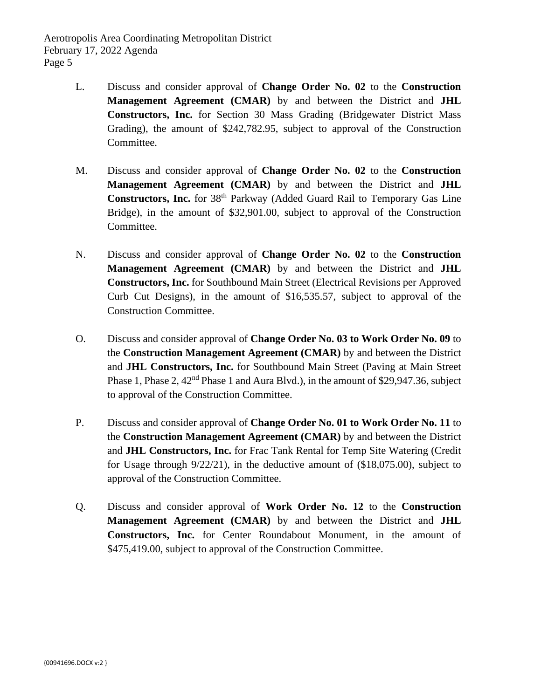- L. Discuss and consider approval of **Change Order No. 02** to the **Construction Management Agreement (CMAR)** by and between the District and **JHL Constructors, Inc.** for Section 30 Mass Grading (Bridgewater District Mass Grading), the amount of \$242,782.95, subject to approval of the Construction Committee.
- M. Discuss and consider approval of **Change Order No. 02** to the **Construction Management Agreement (CMAR)** by and between the District and **JHL Constructors, Inc.** for 38<sup>th</sup> Parkway (Added Guard Rail to Temporary Gas Line Bridge), in the amount of \$32,901.00, subject to approval of the Construction Committee.
- N. Discuss and consider approval of **Change Order No. 02** to the **Construction Management Agreement (CMAR)** by and between the District and **JHL Constructors, Inc.** for Southbound Main Street (Electrical Revisions per Approved Curb Cut Designs), in the amount of \$16,535.57, subject to approval of the Construction Committee.
- O. Discuss and consider approval of **Change Order No. 03 to Work Order No. 09** to the **Construction Management Agreement (CMAR)** by and between the District and **JHL Constructors, Inc.** for Southbound Main Street (Paving at Main Street Phase 1, Phase 2,  $42<sup>nd</sup>$  Phase 1 and Aura Blvd.), in the amount of \$29,947.36, subject to approval of the Construction Committee.
- P. Discuss and consider approval of **Change Order No. 01 to Work Order No. 11** to the **Construction Management Agreement (CMAR)** by and between the District and **JHL Constructors, Inc.** for Frac Tank Rental for Temp Site Watering (Credit for Usage through 9/22/21), in the deductive amount of (\$18,075.00), subject to approval of the Construction Committee.
- Q. Discuss and consider approval of **Work Order No. 12** to the **Construction Management Agreement (CMAR)** by and between the District and **JHL Constructors, Inc.** for Center Roundabout Monument, in the amount of \$475,419.00, subject to approval of the Construction Committee.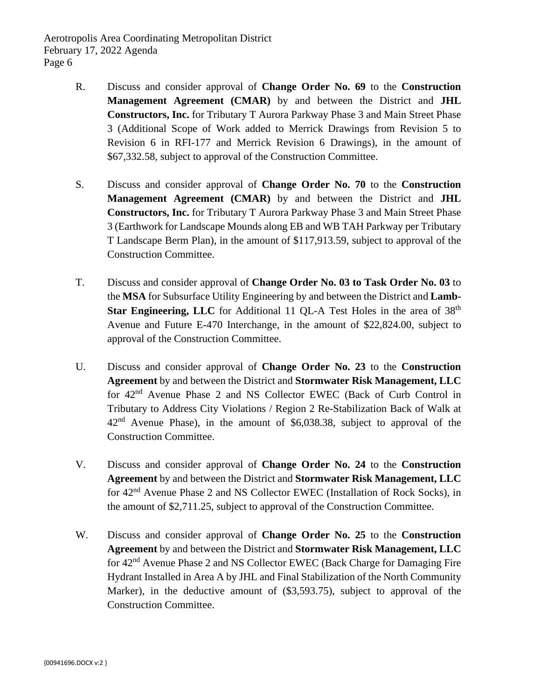- R. Discuss and consider approval of **Change Order No. 69** to the **Construction Management Agreement (CMAR)** by and between the District and **JHL Constructors, Inc.** for Tributary T Aurora Parkway Phase 3 and Main Street Phase 3 (Additional Scope of Work added to Merrick Drawings from Revision 5 to Revision 6 in RFI-177 and Merrick Revision 6 Drawings), in the amount of \$67,332.58, subject to approval of the Construction Committee.
- S. Discuss and consider approval of **Change Order No. 70** to the **Construction Management Agreement (CMAR)** by and between the District and **JHL Constructors, Inc.** for Tributary T Aurora Parkway Phase 3 and Main Street Phase 3 (Earthwork for Landscape Mounds along EB and WB TAH Parkway per Tributary T Landscape Berm Plan), in the amount of \$117,913.59, subject to approval of the Construction Committee.
- T. Discuss and consider approval of **Change Order No. 03 to Task Order No. 03** to the **MSA** for Subsurface Utility Engineering by and between the District and **Lamb-Star Engineering, LLC** for Additional 11 QL-A Test Holes in the area of 38<sup>th</sup> Avenue and Future E-470 Interchange, in the amount of \$22,824.00, subject to approval of the Construction Committee.
- U. Discuss and consider approval of **Change Order No. 23** to the **Construction Agreement** by and between the District and **Stormwater Risk Management, LLC**  for 42nd Avenue Phase 2 and NS Collector EWEC (Back of Curb Control in Tributary to Address City Violations / Region 2 Re-Stabilization Back of Walk at  $42<sup>nd</sup>$  Avenue Phase), in the amount of \$6,038.38, subject to approval of the Construction Committee.
- V. Discuss and consider approval of **Change Order No. 24** to the **Construction Agreement** by and between the District and **Stormwater Risk Management, LLC**  for 42nd Avenue Phase 2 and NS Collector EWEC (Installation of Rock Socks), in the amount of \$2,711.25, subject to approval of the Construction Committee.
- W. Discuss and consider approval of **Change Order No. 25** to the **Construction Agreement** by and between the District and **Stormwater Risk Management, LLC**  for 42nd Avenue Phase 2 and NS Collector EWEC (Back Charge for Damaging Fire Hydrant Installed in Area A by JHL and Final Stabilization of the North Community Marker), in the deductive amount of (\$3,593.75), subject to approval of the Construction Committee.